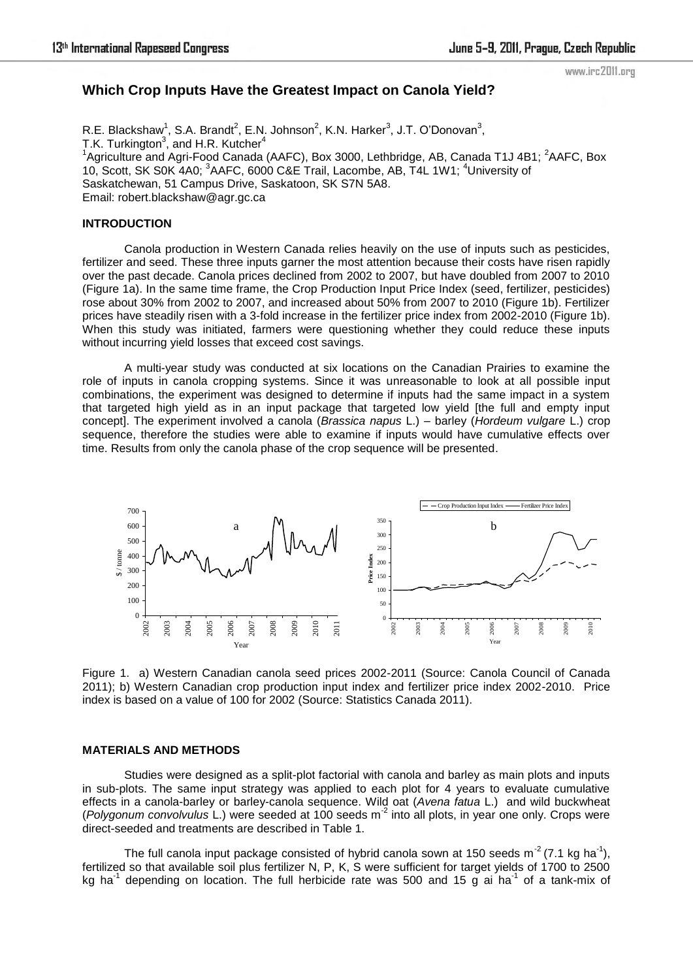#### www.irc2011.org

# **Which Crop Inputs Have the Greatest Impact on Canola Yield?**

R.E. Blackshaw<sup>1</sup>, S.A. Brandt<sup>2</sup>, E.N. Johnson<sup>2</sup>, K.N. Harker<sup>3</sup>, J.T. O'Donovan<sup>3</sup>, T.K. Turkington<sup>3</sup>, and H.R. Kutcher<sup>4</sup> <sup>1</sup>Agriculture and Agri-Food Canada (AAFC), Box 3000, Lethbridge, AB, Canada T1J 4B1; <sup>2</sup>AAFC, Box 10, Scott, SK S0K 4A0; <sup>3</sup>AAFC, 6000 C&E Trail, Lacombe, AB, T4L 1W1; <sup>4</sup>University of Saskatchewan, 51 Campus Drive, Saskatoon, SK S7N 5A8. Email: robert.blackshaw@agr.gc.ca

## **INTRODUCTION**

Canola production in Western Canada relies heavily on the use of inputs such as pesticides, fertilizer and seed. These three inputs garner the most attention because their costs have risen rapidly over the past decade. Canola prices declined from 2002 to 2007, but have doubled from 2007 to 2010 (Figure 1a). In the same time frame, the Crop Production Input Price Index (seed, fertilizer, pesticides) rose about 30% from 2002 to 2007, and increased about 50% from 2007 to 2010 (Figure 1b). Fertilizer prices have steadily risen with a 3-fold increase in the fertilizer price index from 2002-2010 (Figure 1b). When this study was initiated, farmers were questioning whether they could reduce these inputs without incurring yield losses that exceed cost savings.

A multi-year study was conducted at six locations on the Canadian Prairies to examine the role of inputs in canola cropping systems. Since it was unreasonable to look at all possible input combinations, the experiment was designed to determine if inputs had the same impact in a system that targeted high yield as in an input package that targeted low yield [the full and empty input concept]. The experiment involved a canola (*Brassica napus* L.) – barley (*Hordeum vulgare* L.) crop sequence, therefore the studies were able to examine if inputs would have cumulative effects over time. Results from only the canola phase of the crop sequence will be presented.



Figure 1.a) Western Canadian canola seed prices 2002-2011 (Source: Canola Council of Canada 2011); b) Western Canadian crop production input index and fertilizer price index 2002-2010. Price index is based on a value of 100 for 2002 (Source: Statistics Canada 2011).

### **MATERIALS AND METHODS**

Studies were designed as a split-plot factorial with canola and barley as main plots and inputs in sub-plots. The same input strategy was applied to each plot for 4 years to evaluate cumulative effects in a canola-barley or barley-canola sequence. Wild oat (*Avena fatua* L.) and wild buckwheat (*Polygonum convolvulus* L.) were seeded at 100 seeds m-2 into all plots, in year one only. Crops were direct-seeded and treatments are described in Table 1.

The full canola input package consisted of hybrid canola sown at 150 seeds  $m^2$  (7.1 kg ha<sup>-1</sup>), fertilized so that available soil plus fertilizer N, P, K, S were sufficient for target yields of 1700 to 2500 kg ha<sup>-1</sup> depending on location. The full herbicide rate was 500 and 15 g ai ha<sup>-1</sup> of a tank-mix of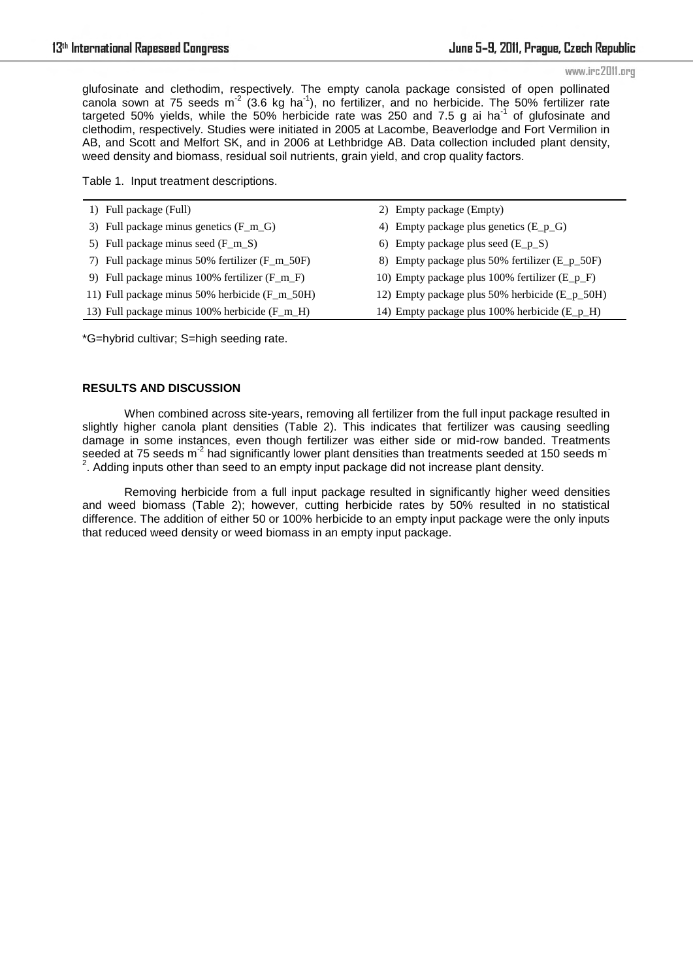glufosinate and clethodim, respectively. The empty canola package consisted of open pollinated canola sown at 75 seeds  $m^2$  (3.6 kg ha<sup>-1</sup>), no fertilizer, and no herbicide. The 50% fertilizer rate targeted 50% yields, while the 50% herbicide rate was 250 and 7.5 g ai ha<sup>-1</sup> of glufosinate and clethodim, respectively. Studies were initiated in 2005 at Lacombe, Beaverlodge and Fort Vermilion in AB, and Scott and Melfort SK, and in 2006 at Lethbridge AB. Data collection included plant density, weed density and biomass, residual soil nutrients, grain yield, and crop quality factors.

Table 1. Input treatment descriptions.

| 1) Full package (Full)                          | 2) Empty package (Empty)                       |
|-------------------------------------------------|------------------------------------------------|
| 3) Full package minus genetics (F_m_G)          | 4) Empty package plus genetics $(E_p_G)$       |
| 5) Full package minus seed $(F_m_S)$            | 6) Empty package plus seed $(E_p_S)$           |
| 7) Full package minus 50% fertilizer (F_m_50F)  | 8) Empty package plus 50% fertilizer (E_p_50F) |
| 9) Full package minus 100% fertilizer $(F_m F)$ | 10) Empty package plus 100% fertilizer (E_p_F) |
| 11) Full package minus 50% herbicide (F_m_50H)  | 12) Empty package plus 50% herbicide (E_p_50H) |
| 13) Full package minus 100% herbicide (F_m_H)   | 14) Empty package plus 100% herbicide (E_p_H)  |

\*G=hybrid cultivar; S=high seeding rate.

### **RESULTS AND DISCUSSION**

When combined across site-years, removing all fertilizer from the full input package resulted in slightly higher canola plant densities (Table 2). This indicates that fertilizer was causing seedling damage in some instances, even though fertilizer was either side or mid-row banded. Treatments seeded at 75 seeds m<sup>-2</sup> had significantly lower plant densities than treatments seeded at 150 seeds m<sup>-</sup>  $2$ . Adding inputs other than seed to an empty input package did not increase plant density.

Removing herbicide from a full input package resulted in significantly higher weed densities and weed biomass (Table 2); however, cutting herbicide rates by 50% resulted in no statistical difference. The addition of either 50 or 100% herbicide to an empty input package were the only inputs that reduced weed density or weed biomass in an empty input package.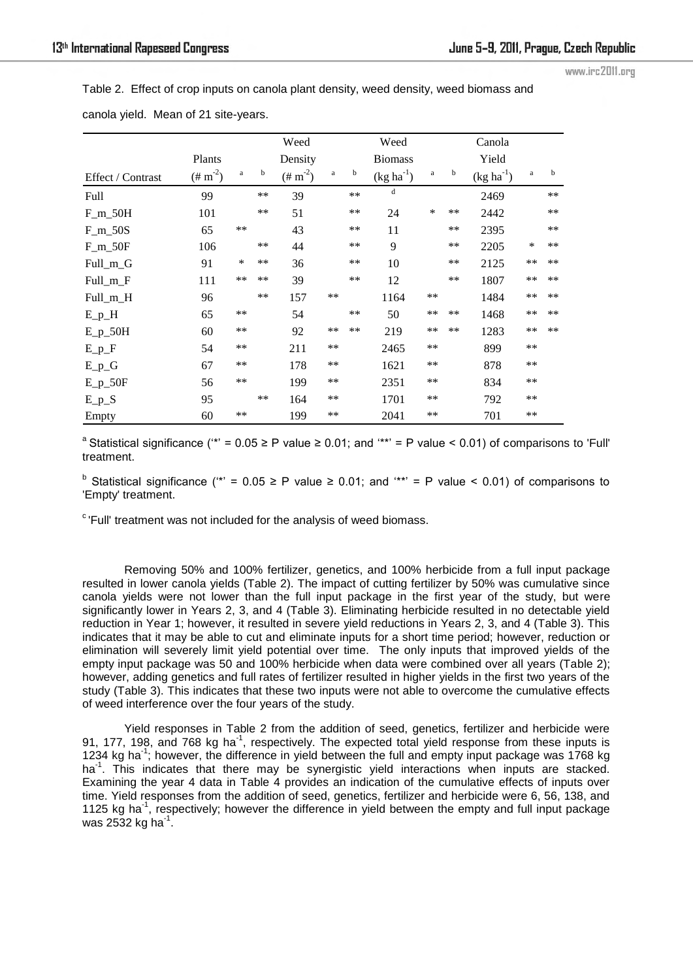www.irc2011.org

Table 2.Effect of crop inputs on canola plant density, weed density, weed biomass and

|                   |                       |              |      | Weed                  |       |      | Weed           |              |             | Canola         |          |    |
|-------------------|-----------------------|--------------|------|-----------------------|-------|------|----------------|--------------|-------------|----------------|----------|----|
|                   | Plants                |              |      | Density               |       |      | <b>Biomass</b> |              |             | Yield          |          |    |
| Effect / Contrast | $(\# \text{ m}^{-2})$ | $\mathbf{a}$ | b    | $(\# \text{ m}^{-2})$ | a     | b    | $(kg ha-1)$    | $\mathbf{a}$ | $\mathbf b$ | $(kg ha^{-1})$ | $\rm{a}$ | b  |
| Full              | 99                    |              | **   | 39                    |       | **   | d              |              |             | 2469           |          | ** |
| $F_m_50H$         | 101                   |              | **   | 51                    |       | **   | 24             | *            | $***$       | 2442           |          | ** |
| $F_m$ _50S        | 65                    | $**$         |      | 43                    |       | **   | 11             |              | $***$       | 2395           |          | ** |
| $F_m_{50F}$       | 106                   |              | **   | 44                    |       | $**$ | 9              |              | $***$       | 2205           | *        | ** |
| Full_m_G          | 91                    | $\ast$       | $**$ | 36                    |       | $**$ | 10             |              | $***$       | 2125           | $**$     | ** |
| $Full_m_F$        | 111                   | $**$         | **   | 39                    |       | **   | 12             |              | $***$       | 1807           | $**$     | ** |
| Full_m_H          | 96                    |              | **   | 157                   | **    |      | 1164           | $**$         |             | 1484           | $**$     | ** |
| $E_p$ $H$         | 65                    | $**$         |      | 54                    |       | $**$ | 50             | $**$         | $***$       | 1468           | $**$     | ** |
| $E_p_50H$         | 60                    | **           |      | 92                    | $***$ | $**$ | 219            | $**$         | $**$        | 1283           | **       | ** |
| $E_p_F$           | 54                    | **           |      | 211                   | **    |      | 2465           | $**$         |             | 899            | **       |    |
| $E_p_G$           | 67                    | **           |      | 178                   | **    |      | 1621           | $**$         |             | 878            | $***$    |    |
| $E_p$ _50F        | 56                    | **           |      | 199                   | **    |      | 2351           | $***$        |             | 834            | **       |    |
| $E_p_S$           | 95                    |              | **   | 164                   | **    |      | 1701           | $**$         |             | 792            | $***$    |    |
| Empty             | 60                    | **           |      | 199                   | **    |      | 2041           | $**$         |             | 701            | $***$    |    |

canola yield. Mean of 21 site-years.

<sup>a</sup> Statistical significance (<sup>\*\*</sup> = 0.05 ≥ P value ≥ 0.01; and <sup>\*\*\*</sup>' = P value < 0.01) of comparisons to 'Full' treatment.

<sup>b</sup> Statistical significance (<sup>\*\*</sup> = 0.05 ≥ P value ≥ 0.01; and <sup>\*\*\*</sup> = P value < 0.01) of comparisons to 'Empty' treatment.

 $\degree$ 'Full' treatment was not included for the analysis of weed biomass.

Removing 50% and 100% fertilizer, genetics, and 100% herbicide from a full input package resulted in lower canola yields (Table 2). The impact of cutting fertilizer by 50% was cumulative since canola yields were not lower than the full input package in the first year of the study, but were significantly lower in Years 2, 3, and 4 (Table 3). Eliminating herbicide resulted in no detectable yield reduction in Year 1; however, it resulted in severe yield reductions in Years 2, 3, and 4 (Table 3). This indicates that it may be able to cut and eliminate inputs for a short time period; however, reduction or elimination will severely limit yield potential over time. The only inputs that improved yields of the empty input package was 50 and 100% herbicide when data were combined over all years (Table 2); however, adding genetics and full rates of fertilizer resulted in higher yields in the first two years of the study (Table 3). This indicates that these two inputs were not able to overcome the cumulative effects of weed interference over the four years of the study.

Yield responses in Table 2 from the addition of seed, genetics, fertilizer and herbicide were 91, 177, 198, and 768 kg ha<sup>-1</sup>, respectively. The expected total yield response from these inputs is 1234 kg ha<sup>-1</sup>; however, the difference in yield between the full and empty input package was 1768 kg ha<sup>-1</sup>. This indicates that there may be synergistic yield interactions when inputs are stacked. Examining the year 4 data in Table 4 provides an indication of the cumulative effects of inputs over time. Yield responses from the addition of seed, genetics, fertilizer and herbicide were 6, 56, 138, and 1125 kg ha<sup>-1</sup>, respectively; however the difference in yield between the empty and full input package was 2532 kg ha $^{-1}$ .